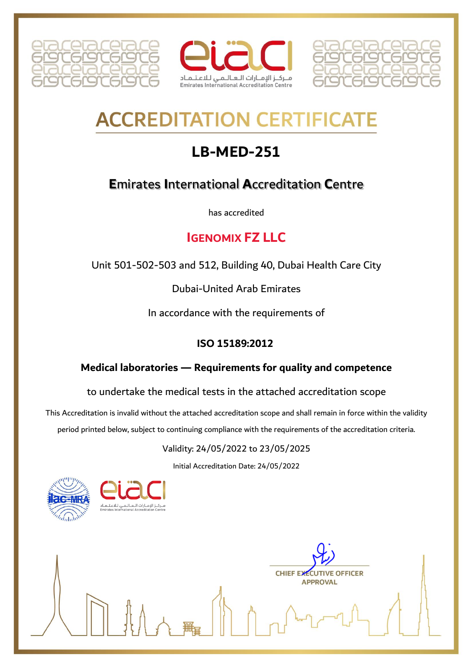





# **ACCREDITATION CERTIFICAT**

## **LB-MED-251**

## **E**mirates **I**nternational **A**ccreditation **C**entre

has accredited

### **IGENOMIX FZ LLC**

Unit 501-502-503 and 512, Building 40, Dubai Health Care City

Dubai-United Arab Emirates

In accordance with the requirements of

#### **ISO 15189:2012**

#### **Medical laboratories — Requirements for quality and competence**

to undertake the medical tests in the attached accreditation scope

This Accreditation is invalid without the attached accreditation scope and shall remain in force within the validity period printed below, subject to continuing compliance with the requirements of the accreditation criteria.

#### Validity: 24/05/2022 to 23/05/2025

Initial Accreditation Date: 24/05/2022





**CHIEF EXECUTIVE OFFICER APPROVAL**